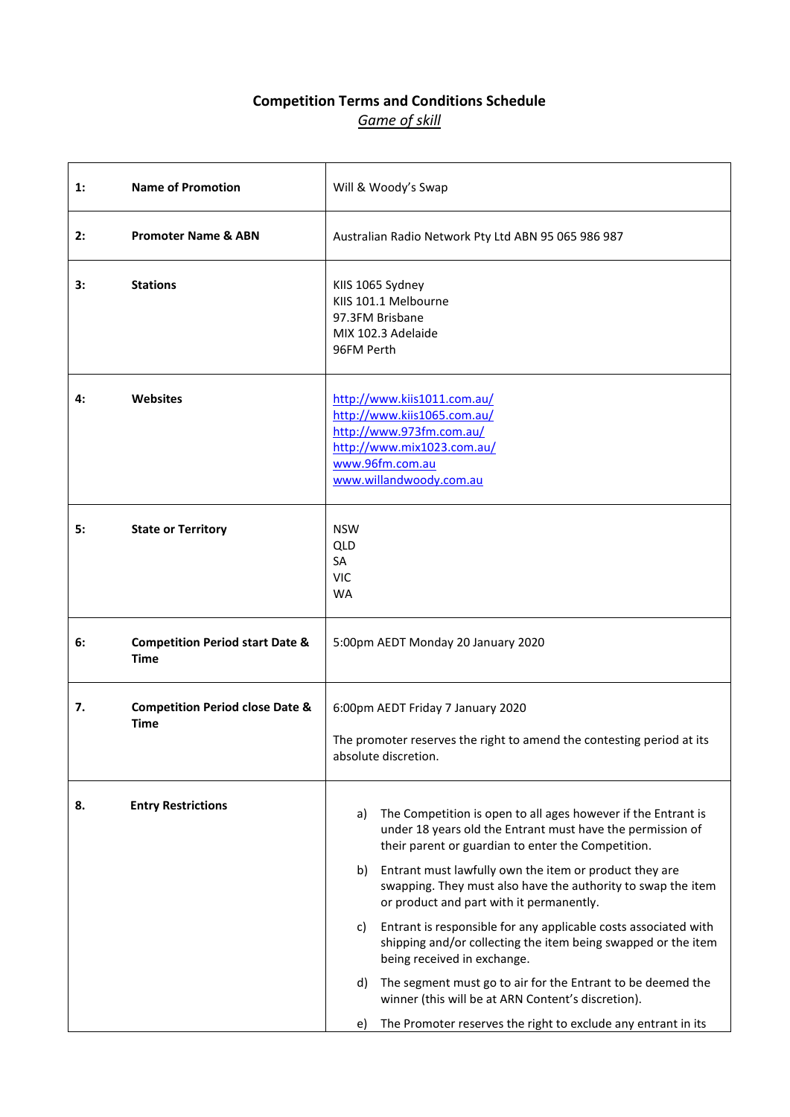## **Competition Terms and Conditions Schedule** *Game of skill*

| 1: | <b>Name of Promotion</b>                                  |                                                                                                                                    | Will & Woody's Swap                                                                                                                                                               |
|----|-----------------------------------------------------------|------------------------------------------------------------------------------------------------------------------------------------|-----------------------------------------------------------------------------------------------------------------------------------------------------------------------------------|
| 2: | <b>Promoter Name &amp; ABN</b>                            | Australian Radio Network Pty Ltd ABN 95 065 986 987                                                                                |                                                                                                                                                                                   |
| 3: | <b>Stations</b>                                           | 96FM Perth                                                                                                                         | KIIS 1065 Sydney<br>KIIS 101.1 Melbourne<br>97.3FM Brisbane<br>MIX 102.3 Adelaide                                                                                                 |
| 4: | <b>Websites</b>                                           |                                                                                                                                    | http://www.kiis1011.com.au/<br>http://www.kiis1065.com.au/<br>http://www.973fm.com.au/<br>http://www.mix1023.com.au/<br>www.96fm.com.au<br>www.willandwoody.com.au                |
| 5: | <b>State or Territory</b>                                 | <b>NSW</b><br>QLD<br><b>SA</b><br><b>VIC</b><br><b>WA</b>                                                                          |                                                                                                                                                                                   |
| 6: | <b>Competition Period start Date &amp;</b><br><b>Time</b> |                                                                                                                                    | 5:00pm AEDT Monday 20 January 2020                                                                                                                                                |
| 7. | <b>Competition Period close Date &amp;</b><br><b>Time</b> | 6:00pm AEDT Friday 7 January 2020<br>The promoter reserves the right to amend the contesting period at its<br>absolute discretion. |                                                                                                                                                                                   |
| 8. | <b>Entry Restrictions</b>                                 | a)                                                                                                                                 | The Competition is open to all ages however if the Entrant is<br>under 18 years old the Entrant must have the permission of<br>their parent or guardian to enter the Competition. |
|    |                                                           | b)                                                                                                                                 | Entrant must lawfully own the item or product they are<br>swapping. They must also have the authority to swap the item<br>or product and part with it permanently.                |
|    |                                                           | C)                                                                                                                                 | Entrant is responsible for any applicable costs associated with<br>shipping and/or collecting the item being swapped or the item<br>being received in exchange.                   |
|    |                                                           | d)                                                                                                                                 | The segment must go to air for the Entrant to be deemed the<br>winner (this will be at ARN Content's discretion).                                                                 |
|    |                                                           | e)                                                                                                                                 | The Promoter reserves the right to exclude any entrant in its                                                                                                                     |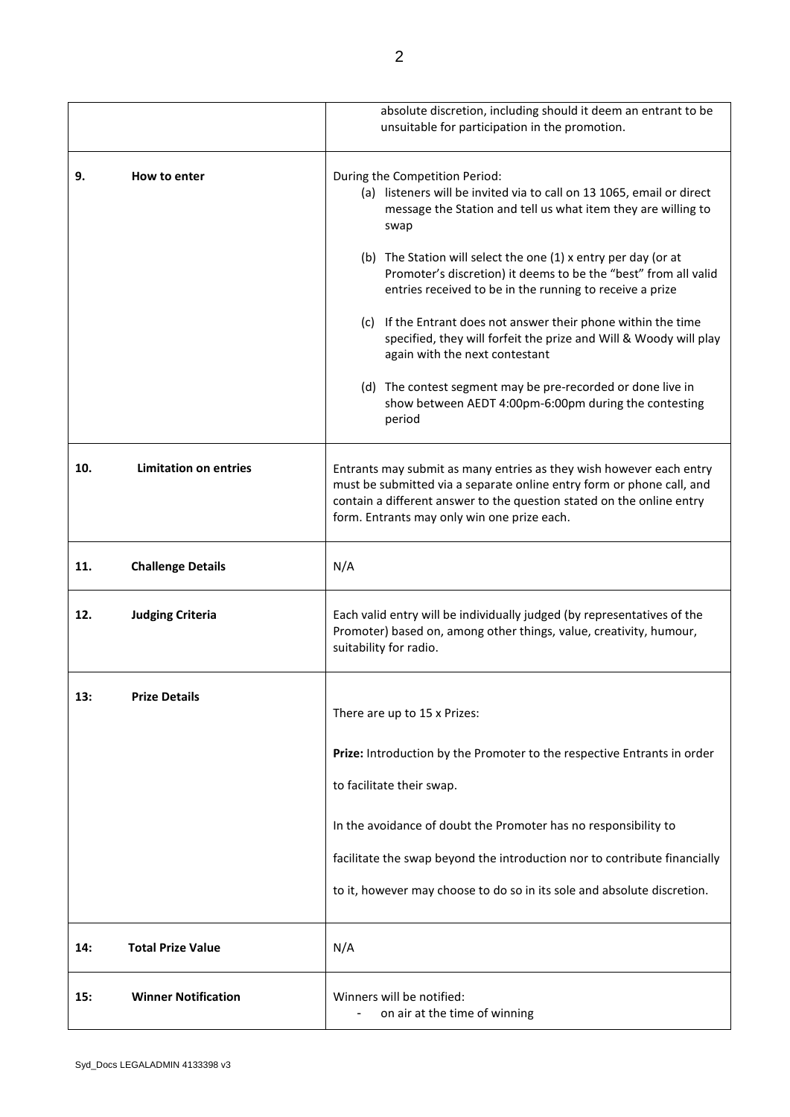|     |                              | absolute discretion, including should it deem an entrant to be<br>unsuitable for participation in the promotion.                                                                                                                                                     |
|-----|------------------------------|----------------------------------------------------------------------------------------------------------------------------------------------------------------------------------------------------------------------------------------------------------------------|
| 9.  | How to enter                 | During the Competition Period:<br>(a) listeners will be invited via to call on 13 1065, email or direct<br>message the Station and tell us what item they are willing to<br>swap                                                                                     |
|     |                              | (b) The Station will select the one (1) x entry per day (or at<br>Promoter's discretion) it deems to be the "best" from all valid<br>entries received to be in the running to receive a prize                                                                        |
|     |                              | (c) If the Entrant does not answer their phone within the time<br>specified, they will forfeit the prize and Will & Woody will play<br>again with the next contestant                                                                                                |
|     |                              | (d) The contest segment may be pre-recorded or done live in<br>show between AEDT 4:00pm-6:00pm during the contesting<br>period                                                                                                                                       |
| 10. | <b>Limitation on entries</b> | Entrants may submit as many entries as they wish however each entry<br>must be submitted via a separate online entry form or phone call, and<br>contain a different answer to the question stated on the online entry<br>form. Entrants may only win one prize each. |
| 11. | <b>Challenge Details</b>     | N/A                                                                                                                                                                                                                                                                  |
| 12. | <b>Judging Criteria</b>      | Each valid entry will be individually judged (by representatives of the<br>Promoter) based on, among other things, value, creativity, humour,<br>suitability for radio.                                                                                              |
| 13: | <b>Prize Details</b>         | There are up to 15 x Prizes:                                                                                                                                                                                                                                         |
|     |                              | Prize: Introduction by the Promoter to the respective Entrants in order                                                                                                                                                                                              |
|     |                              | to facilitate their swap.                                                                                                                                                                                                                                            |
|     |                              | In the avoidance of doubt the Promoter has no responsibility to                                                                                                                                                                                                      |
|     |                              | facilitate the swap beyond the introduction nor to contribute financially                                                                                                                                                                                            |
|     |                              | to it, however may choose to do so in its sole and absolute discretion.                                                                                                                                                                                              |
| 14: | <b>Total Prize Value</b>     | N/A                                                                                                                                                                                                                                                                  |
| 15: | <b>Winner Notification</b>   | Winners will be notified:<br>on air at the time of winning                                                                                                                                                                                                           |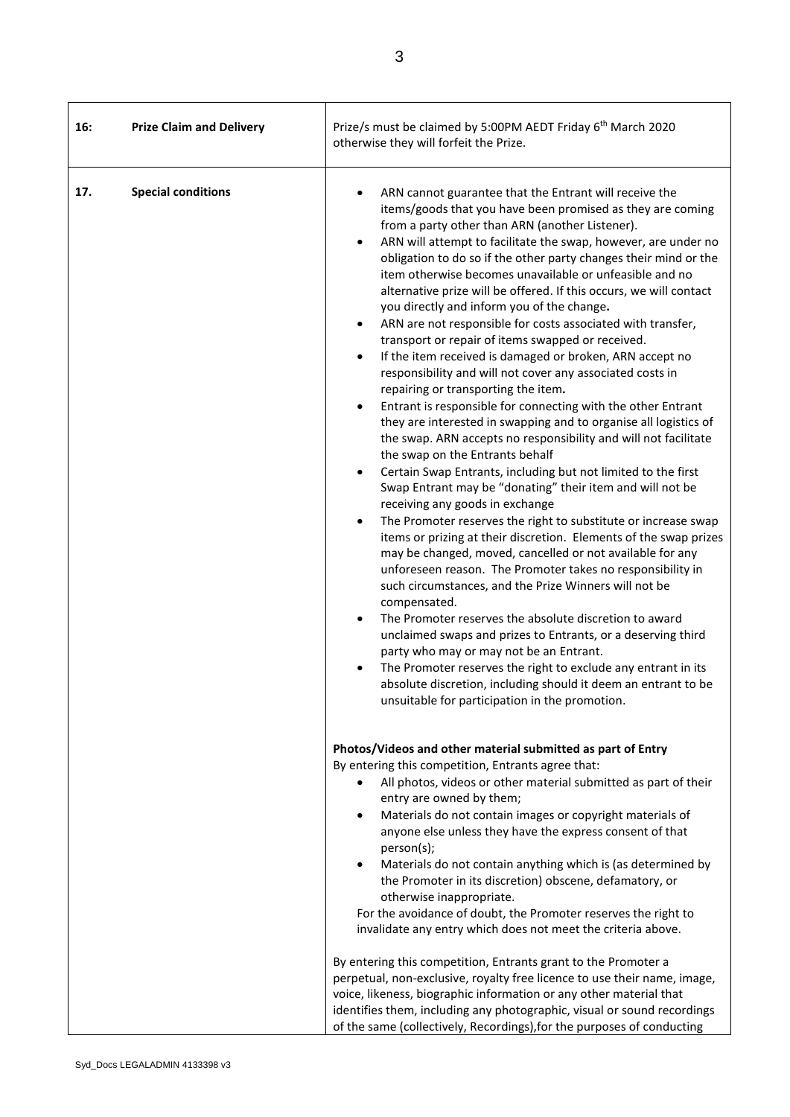| 16: | <b>Prize Claim and Delivery</b> | Prize/s must be claimed by 5:00PM AEDT Friday 6 <sup>th</sup> March 2020<br>otherwise they will forfeit the Prize.                                                                                                                                                                                                                                                                                                                                                                                                                                                                                                                                                                                                                                                                                                                                                                                                                                                                                                                                                                                                                                                                                                                                                                                                                                                                                                                                                                                                                                                                                                                                                                                                                                                                                                                                                                                                                                                                  |
|-----|---------------------------------|-------------------------------------------------------------------------------------------------------------------------------------------------------------------------------------------------------------------------------------------------------------------------------------------------------------------------------------------------------------------------------------------------------------------------------------------------------------------------------------------------------------------------------------------------------------------------------------------------------------------------------------------------------------------------------------------------------------------------------------------------------------------------------------------------------------------------------------------------------------------------------------------------------------------------------------------------------------------------------------------------------------------------------------------------------------------------------------------------------------------------------------------------------------------------------------------------------------------------------------------------------------------------------------------------------------------------------------------------------------------------------------------------------------------------------------------------------------------------------------------------------------------------------------------------------------------------------------------------------------------------------------------------------------------------------------------------------------------------------------------------------------------------------------------------------------------------------------------------------------------------------------------------------------------------------------------------------------------------------------|
| 17. | <b>Special conditions</b>       | ARN cannot guarantee that the Entrant will receive the<br>items/goods that you have been promised as they are coming<br>from a party other than ARN (another Listener).<br>ARN will attempt to facilitate the swap, however, are under no<br>$\bullet$<br>obligation to do so if the other party changes their mind or the<br>item otherwise becomes unavailable or unfeasible and no<br>alternative prize will be offered. If this occurs, we will contact<br>you directly and inform you of the change.<br>ARN are not responsible for costs associated with transfer,<br>$\bullet$<br>transport or repair of items swapped or received.<br>If the item received is damaged or broken, ARN accept no<br>$\bullet$<br>responsibility and will not cover any associated costs in<br>repairing or transporting the item.<br>Entrant is responsible for connecting with the other Entrant<br>$\bullet$<br>they are interested in swapping and to organise all logistics of<br>the swap. ARN accepts no responsibility and will not facilitate<br>the swap on the Entrants behalf<br>Certain Swap Entrants, including but not limited to the first<br>٠<br>Swap Entrant may be "donating" their item and will not be<br>receiving any goods in exchange<br>The Promoter reserves the right to substitute or increase swap<br>$\bullet$<br>items or prizing at their discretion. Elements of the swap prizes<br>may be changed, moved, cancelled or not available for any<br>unforeseen reason. The Promoter takes no responsibility in<br>such circumstances, and the Prize Winners will not be<br>compensated.<br>The Promoter reserves the absolute discretion to award<br>$\bullet$<br>unclaimed swaps and prizes to Entrants, or a deserving third<br>party who may or may not be an Entrant.<br>The Promoter reserves the right to exclude any entrant in its<br>absolute discretion, including should it deem an entrant to be<br>unsuitable for participation in the promotion. |
|     |                                 | Photos/Videos and other material submitted as part of Entry<br>By entering this competition, Entrants agree that:<br>All photos, videos or other material submitted as part of their<br>entry are owned by them;<br>Materials do not contain images or copyright materials of<br>٠<br>anyone else unless they have the express consent of that<br>person(s);<br>Materials do not contain anything which is (as determined by<br>the Promoter in its discretion) obscene, defamatory, or<br>otherwise inappropriate.<br>For the avoidance of doubt, the Promoter reserves the right to<br>invalidate any entry which does not meet the criteria above.                                                                                                                                                                                                                                                                                                                                                                                                                                                                                                                                                                                                                                                                                                                                                                                                                                                                                                                                                                                                                                                                                                                                                                                                                                                                                                                               |
|     |                                 | By entering this competition, Entrants grant to the Promoter a<br>perpetual, non-exclusive, royalty free licence to use their name, image,<br>voice, likeness, biographic information or any other material that<br>identifies them, including any photographic, visual or sound recordings<br>of the same (collectively, Recordings), for the purposes of conducting                                                                                                                                                                                                                                                                                                                                                                                                                                                                                                                                                                                                                                                                                                                                                                                                                                                                                                                                                                                                                                                                                                                                                                                                                                                                                                                                                                                                                                                                                                                                                                                                               |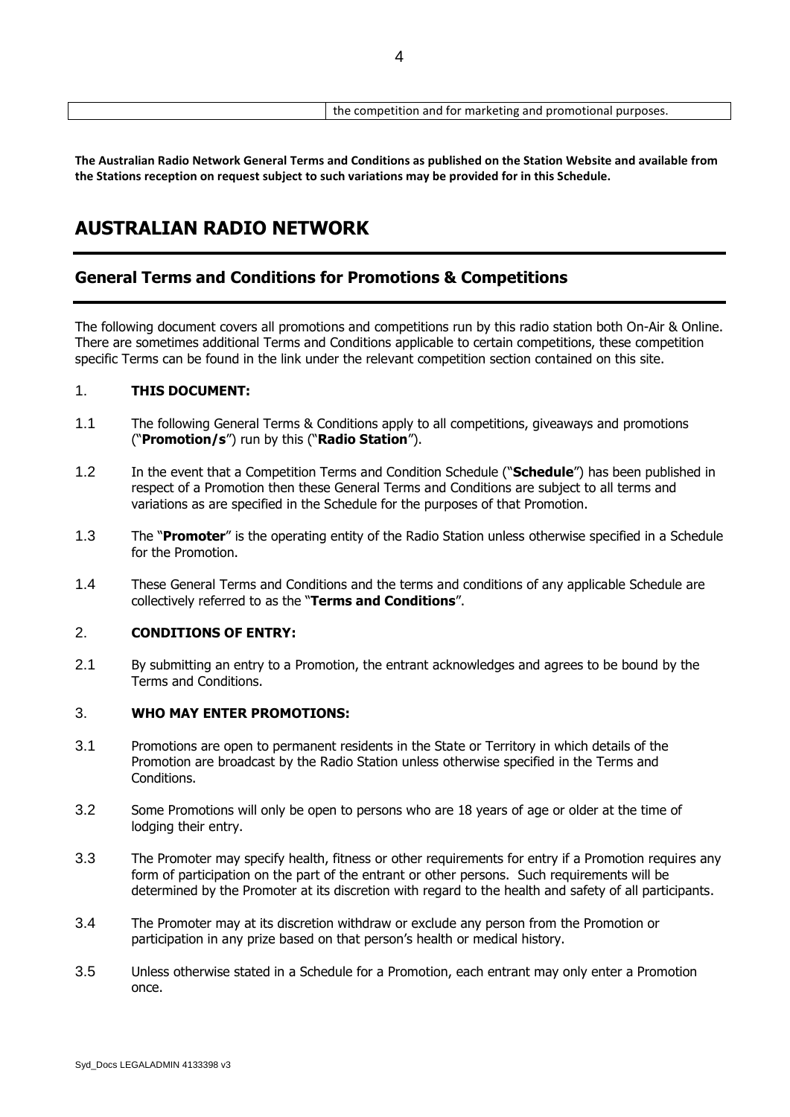**The Australian Radio Network General Terms and Conditions as published on the Station Website and available from the Stations reception on request subject to such variations may be provided for in this Schedule.**

# **AUSTRALIAN RADIO NETWORK**

## **General Terms and Conditions for Promotions & Competitions**

The following document covers all promotions and competitions run by this radio station both On-Air & Online. There are sometimes additional Terms and Conditions applicable to certain competitions, these competition specific Terms can be found in the link under the relevant competition section contained on this site.

#### 1. **THIS DOCUMENT:**

- 1.1 The following General Terms & Conditions apply to all competitions, giveaways and promotions ("**Promotion/s**") run by this ("**Radio Station**").
- 1.2 In the event that a Competition Terms and Condition Schedule ("**Schedule**") has been published in respect of a Promotion then these General Terms and Conditions are subject to all terms and variations as are specified in the Schedule for the purposes of that Promotion.
- 1.3 The "**Promoter**" is the operating entity of the Radio Station unless otherwise specified in a Schedule for the Promotion.
- 1.4 These General Terms and Conditions and the terms and conditions of any applicable Schedule are collectively referred to as the "**Terms and Conditions**".

#### 2. **CONDITIONS OF ENTRY:**

2.1 By submitting an entry to a Promotion, the entrant acknowledges and agrees to be bound by the Terms and Conditions.

#### 3. **WHO MAY ENTER PROMOTIONS:**

- 3.1 Promotions are open to permanent residents in the State or Territory in which details of the Promotion are broadcast by the Radio Station unless otherwise specified in the Terms and Conditions.
- 3.2 Some Promotions will only be open to persons who are 18 years of age or older at the time of lodging their entry.
- 3.3 The Promoter may specify health, fitness or other requirements for entry if a Promotion requires any form of participation on the part of the entrant or other persons. Such requirements will be determined by the Promoter at its discretion with regard to the health and safety of all participants.
- 3.4 The Promoter may at its discretion withdraw or exclude any person from the Promotion or participation in any prize based on that person's health or medical history.
- 3.5 Unless otherwise stated in a Schedule for a Promotion, each entrant may only enter a Promotion once.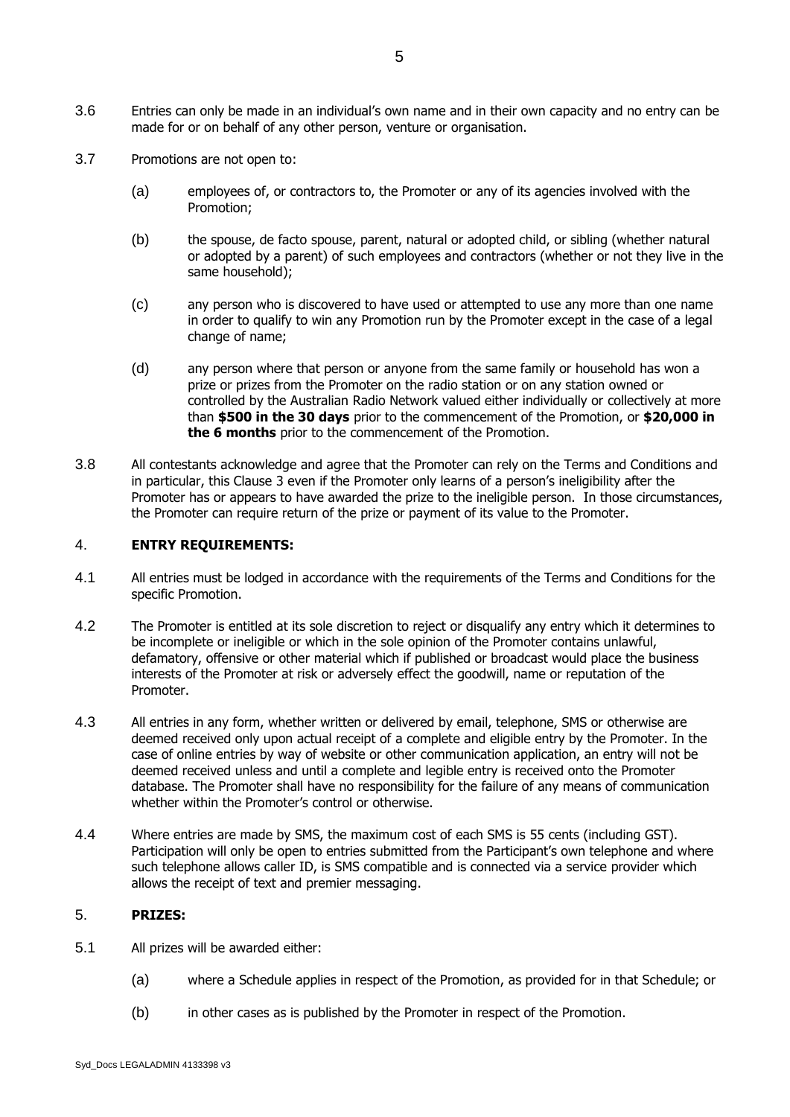- 3.7 Promotions are not open to:
	- (a) employees of, or contractors to, the Promoter or any of its agencies involved with the Promotion;
	- (b) the spouse, de facto spouse, parent, natural or adopted child, or sibling (whether natural or adopted by a parent) of such employees and contractors (whether or not they live in the same household);
	- (c) any person who is discovered to have used or attempted to use any more than one name in order to qualify to win any Promotion run by the Promoter except in the case of a legal change of name;
	- (d) any person where that person or anyone from the same family or household has won a prize or prizes from the Promoter on the radio station or on any station owned or controlled by the Australian Radio Network valued either individually or collectively at more than **\$500 in the 30 days** prior to the commencement of the Promotion, or **\$20,000 in the 6 months** prior to the commencement of the Promotion.
- 3.8 All contestants acknowledge and agree that the Promoter can rely on the Terms and Conditions and in particular, this Clause 3 even if the Promoter only learns of a person's ineligibility after the Promoter has or appears to have awarded the prize to the ineligible person. In those circumstances, the Promoter can require return of the prize or payment of its value to the Promoter.

#### 4. **ENTRY REQUIREMENTS:**

- 4.1 All entries must be lodged in accordance with the requirements of the Terms and Conditions for the specific Promotion.
- 4.2 The Promoter is entitled at its sole discretion to reject or disqualify any entry which it determines to be incomplete or ineligible or which in the sole opinion of the Promoter contains unlawful, defamatory, offensive or other material which if published or broadcast would place the business interests of the Promoter at risk or adversely effect the goodwill, name or reputation of the Promoter.
- 4.3 All entries in any form, whether written or delivered by email, telephone, SMS or otherwise are deemed received only upon actual receipt of a complete and eligible entry by the Promoter. In the case of online entries by way of website or other communication application, an entry will not be deemed received unless and until a complete and legible entry is received onto the Promoter database. The Promoter shall have no responsibility for the failure of any means of communication whether within the Promoter's control or otherwise.
- 4.4 Where entries are made by SMS, the maximum cost of each SMS is 55 cents (including GST). Participation will only be open to entries submitted from the Participant's own telephone and where such telephone allows caller ID, is SMS compatible and is connected via a service provider which allows the receipt of text and premier messaging.

#### 5. **PRIZES:**

- 5.1 All prizes will be awarded either:
	- (a) where a Schedule applies in respect of the Promotion, as provided for in that Schedule; or
	- (b) in other cases as is published by the Promoter in respect of the Promotion.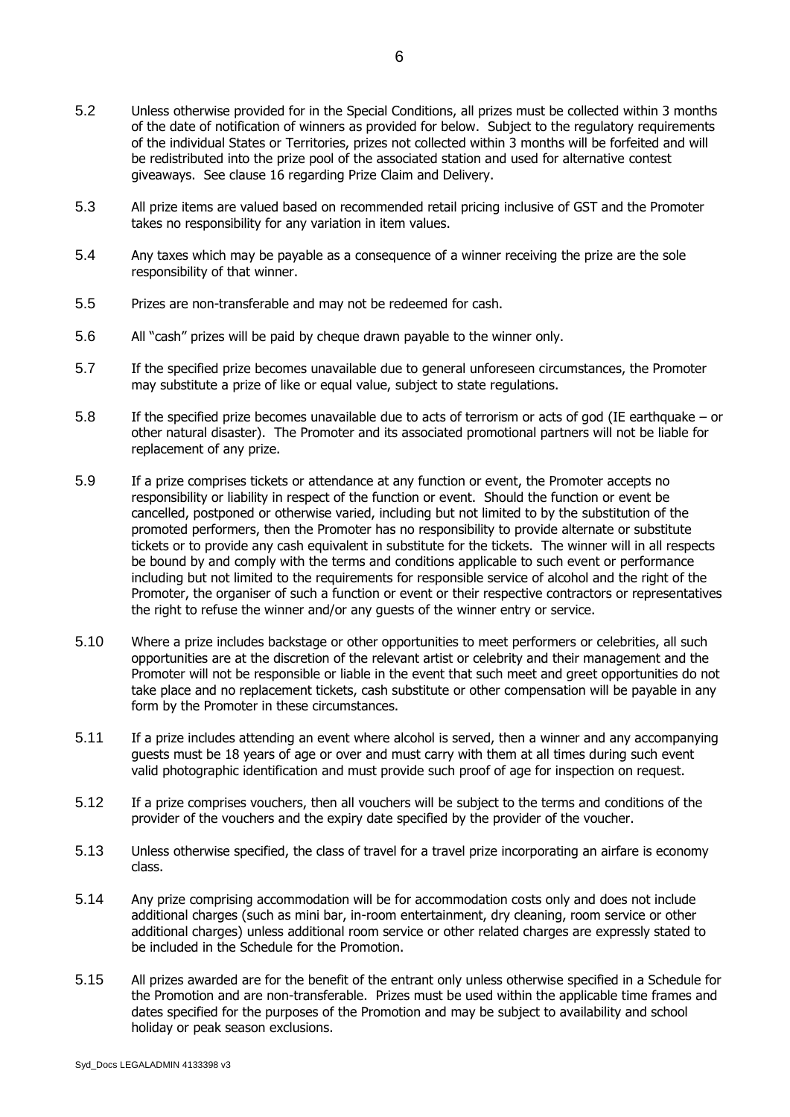- 5.2 Unless otherwise provided for in the Special Conditions, all prizes must be collected within 3 months of the date of notification of winners as provided for below. Subiect to the requlatory requirements of the individual States or Territories, prizes not collected within 3 months will be forfeited and will be redistributed into the prize pool of the associated station and used for alternative contest giveaways. See clause 16 regarding Prize Claim and Delivery.
- 5.3 All prize items are valued based on recommended retail pricing inclusive of GST and the Promoter takes no responsibility for any variation in item values.
- 5.4 Any taxes which may be payable as a consequence of a winner receiving the prize are the sole responsibility of that winner.
- 5.5 Prizes are non-transferable and may not be redeemed for cash.
- 5.6 All "cash" prizes will be paid by cheque drawn payable to the winner only.
- 5.7 If the specified prize becomes unavailable due to general unforeseen circumstances, the Promoter may substitute a prize of like or equal value, subject to state regulations.
- 5.8 If the specified prize becomes unavailable due to acts of terrorism or acts of god (IE earthquake or other natural disaster). The Promoter and its associated promotional partners will not be liable for replacement of any prize.
- 5.9 If a prize comprises tickets or attendance at any function or event, the Promoter accepts no responsibility or liability in respect of the function or event. Should the function or event be cancelled, postponed or otherwise varied, including but not limited to by the substitution of the promoted performers, then the Promoter has no responsibility to provide alternate or substitute tickets or to provide any cash equivalent in substitute for the tickets. The winner will in all respects be bound by and comply with the terms and conditions applicable to such event or performance including but not limited to the requirements for responsible service of alcohol and the right of the Promoter, the organiser of such a function or event or their respective contractors or representatives the right to refuse the winner and/or any guests of the winner entry or service.
- 5.10 Where a prize includes backstage or other opportunities to meet performers or celebrities, all such opportunities are at the discretion of the relevant artist or celebrity and their management and the Promoter will not be responsible or liable in the event that such meet and greet opportunities do not take place and no replacement tickets, cash substitute or other compensation will be payable in any form by the Promoter in these circumstances.
- 5.11 If a prize includes attending an event where alcohol is served, then a winner and any accompanying guests must be 18 years of age or over and must carry with them at all times during such event valid photographic identification and must provide such proof of age for inspection on request.
- 5.12 If a prize comprises vouchers, then all vouchers will be subject to the terms and conditions of the provider of the vouchers and the expiry date specified by the provider of the voucher.
- 5.13 Unless otherwise specified, the class of travel for a travel prize incorporating an airfare is economy class.
- 5.14 Any prize comprising accommodation will be for accommodation costs only and does not include additional charges (such as mini bar, in-room entertainment, dry cleaning, room service or other additional charges) unless additional room service or other related charges are expressly stated to be included in the Schedule for the Promotion.
- 5.15 All prizes awarded are for the benefit of the entrant only unless otherwise specified in a Schedule for the Promotion and are non-transferable. Prizes must be used within the applicable time frames and dates specified for the purposes of the Promotion and may be subject to availability and school holiday or peak season exclusions.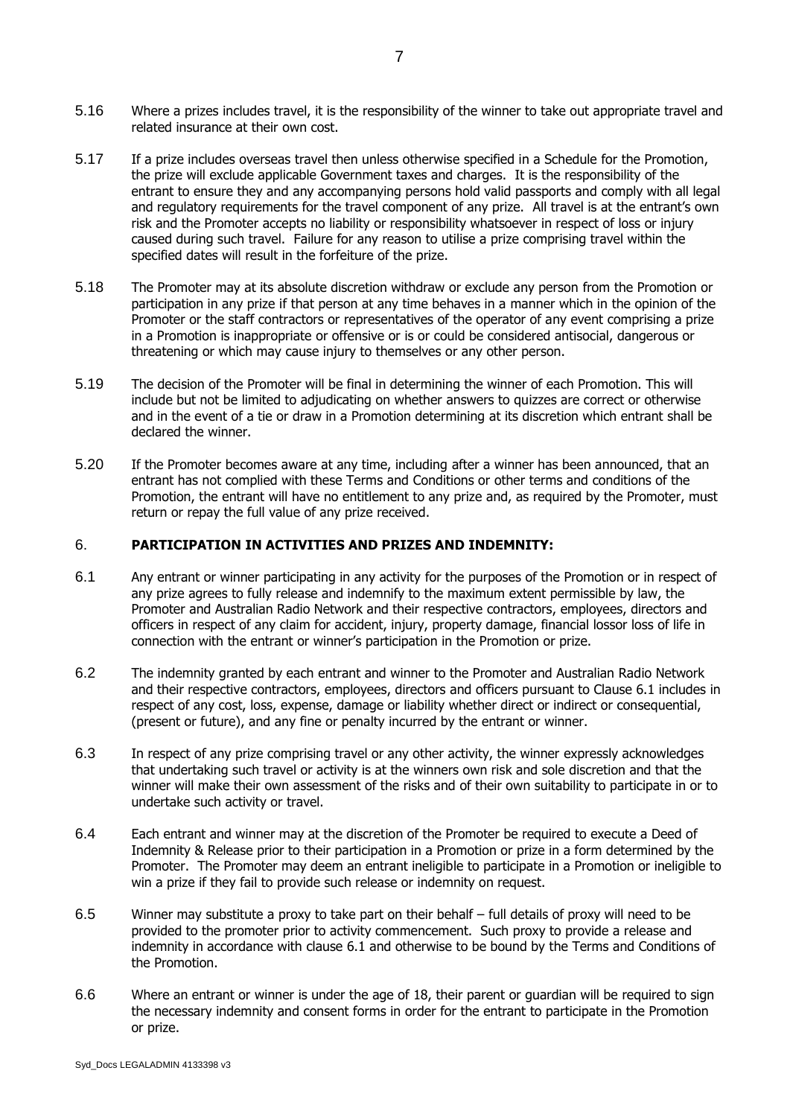- 5.16 Where a prizes includes travel, it is the responsibility of the winner to take out appropriate travel and related insurance at their own cost.
- 5.17 If a prize includes overseas travel then unless otherwise specified in a Schedule for the Promotion, the prize will exclude applicable Government taxes and charges. It is the responsibility of the entrant to ensure they and any accompanying persons hold valid passports and comply with all legal and regulatory requirements for the travel component of any prize. All travel is at the entrant's own risk and the Promoter accepts no liability or responsibility whatsoever in respect of loss or injury caused during such travel. Failure for any reason to utilise a prize comprising travel within the specified dates will result in the forfeiture of the prize.
- 5.18 The Promoter may at its absolute discretion withdraw or exclude any person from the Promotion or participation in any prize if that person at any time behaves in a manner which in the opinion of the Promoter or the staff contractors or representatives of the operator of any event comprising a prize in a Promotion is inappropriate or offensive or is or could be considered antisocial, dangerous or threatening or which may cause injury to themselves or any other person.
- 5.19 The decision of the Promoter will be final in determining the winner of each Promotion. This will include but not be limited to adjudicating on whether answers to quizzes are correct or otherwise and in the event of a tie or draw in a Promotion determining at its discretion which entrant shall be declared the winner.
- 5.20 If the Promoter becomes aware at any time, including after a winner has been announced, that an entrant has not complied with these Terms and Conditions or other terms and conditions of the Promotion, the entrant will have no entitlement to any prize and, as required by the Promoter, must return or repay the full value of any prize received.

#### 6. **PARTICIPATION IN ACTIVITIES AND PRIZES AND INDEMNITY:**

- <span id="page-6-0"></span>6.1 Any entrant or winner participating in any activity for the purposes of the Promotion or in respect of any prize agrees to fully release and indemnify to the maximum extent permissible by law, the Promoter and Australian Radio Network and their respective contractors, employees, directors and officers in respect of any claim for accident, injury, property damage, financial lossor loss of life in connection with the entrant or winner's participation in the Promotion or prize.
- 6.2 The indemnity granted by each entrant and winner to the Promoter and Australian Radio Network and their respective contractors, employees, directors and officers pursuant to Clause 6.1 includes in respect of any cost, loss, expense, damage or liability whether direct or indirect or consequential, (present or future), and any fine or penalty incurred by the entrant or winner.
- 6.3 In respect of any prize comprising travel or any other activity, the winner expressly acknowledges that undertaking such travel or activity is at the winners own risk and sole discretion and that the winner will make their own assessment of the risks and of their own suitability to participate in or to undertake such activity or travel.
- 6.4 Each entrant and winner may at the discretion of the Promoter be required to execute a Deed of Indemnity & Release prior to their participation in a Promotion or prize in a form determined by the Promoter. The Promoter may deem an entrant ineligible to participate in a Promotion or ineligible to win a prize if they fail to provide such release or indemnity on request.
- 6.5 Winner may substitute a proxy to take part on their behalf full details of proxy will need to be provided to the promoter prior to activity commencement. Such proxy to provide a release and indemnity in accordance with clause [6.1](#page-6-0) and otherwise to be bound by the Terms and Conditions of the Promotion.
- 6.6 Where an entrant or winner is under the age of 18, their parent or guardian will be required to sign the necessary indemnity and consent forms in order for the entrant to participate in the Promotion or prize.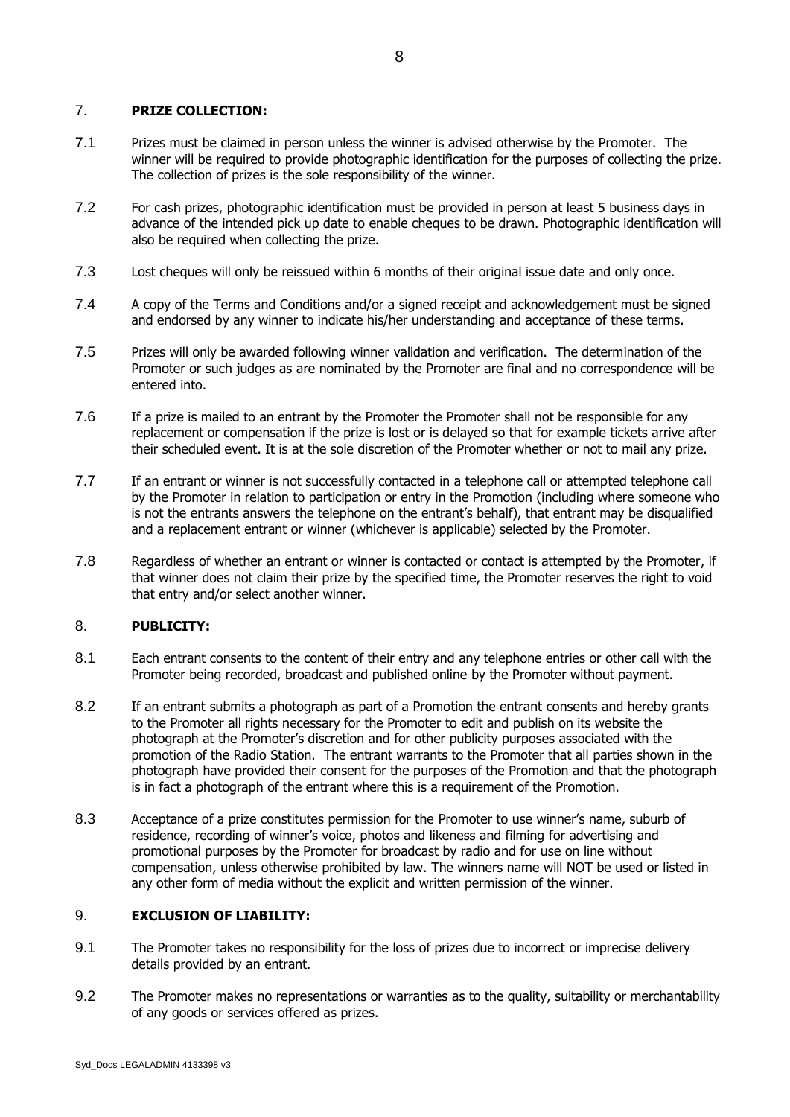#### 7. **PRIZE COLLECTION:**

- 7.1 Prizes must be claimed in person unless the winner is advised otherwise by the Promoter. The winner will be required to provide photographic identification for the purposes of collecting the prize. The collection of prizes is the sole responsibility of the winner.
- 7.2 For cash prizes, photographic identification must be provided in person at least 5 business days in advance of the intended pick up date to enable cheques to be drawn. Photographic identification will also be required when collecting the prize.
- 7.3 Lost cheques will only be reissued within 6 months of their original issue date and only once.
- 7.4 A copy of the Terms and Conditions and/or a signed receipt and acknowledgement must be signed and endorsed by any winner to indicate his/her understanding and acceptance of these terms.
- 7.5 Prizes will only be awarded following winner validation and verification. The determination of the Promoter or such judges as are nominated by the Promoter are final and no correspondence will be entered into.
- 7.6 If a prize is mailed to an entrant by the Promoter the Promoter shall not be responsible for any replacement or compensation if the prize is lost or is delayed so that for example tickets arrive after their scheduled event. It is at the sole discretion of the Promoter whether or not to mail any prize.
- 7.7 If an entrant or winner is not successfully contacted in a telephone call or attempted telephone call by the Promoter in relation to participation or entry in the Promotion (including where someone who is not the entrants answers the telephone on the entrant's behalf), that entrant may be disqualified and a replacement entrant or winner (whichever is applicable) selected by the Promoter.
- 7.8 Regardless of whether an entrant or winner is contacted or contact is attempted by the Promoter, if that winner does not claim their prize by the specified time, the Promoter reserves the right to void that entry and/or select another winner.

#### 8. **PUBLICITY:**

- 8.1 Each entrant consents to the content of their entry and any telephone entries or other call with the Promoter being recorded, broadcast and published online by the Promoter without payment.
- 8.2 If an entrant submits a photograph as part of a Promotion the entrant consents and hereby grants to the Promoter all rights necessary for the Promoter to edit and publish on its website the photograph at the Promoter's discretion and for other publicity purposes associated with the promotion of the Radio Station. The entrant warrants to the Promoter that all parties shown in the photograph have provided their consent for the purposes of the Promotion and that the photograph is in fact a photograph of the entrant where this is a requirement of the Promotion.
- 8.3 Acceptance of a prize constitutes permission for the Promoter to use winner's name, suburb of residence, recording of winner's voice, photos and likeness and filming for advertising and promotional purposes by the Promoter for broadcast by radio and for use on line without compensation, unless otherwise prohibited by law. The winners name will NOT be used or listed in any other form of media without the explicit and written permission of the winner.

#### 9. **EXCLUSION OF LIABILITY:**

- 9.1 The Promoter takes no responsibility for the loss of prizes due to incorrect or imprecise delivery details provided by an entrant.
- 9.2 The Promoter makes no representations or warranties as to the quality, suitability or merchantability of any goods or services offered as prizes.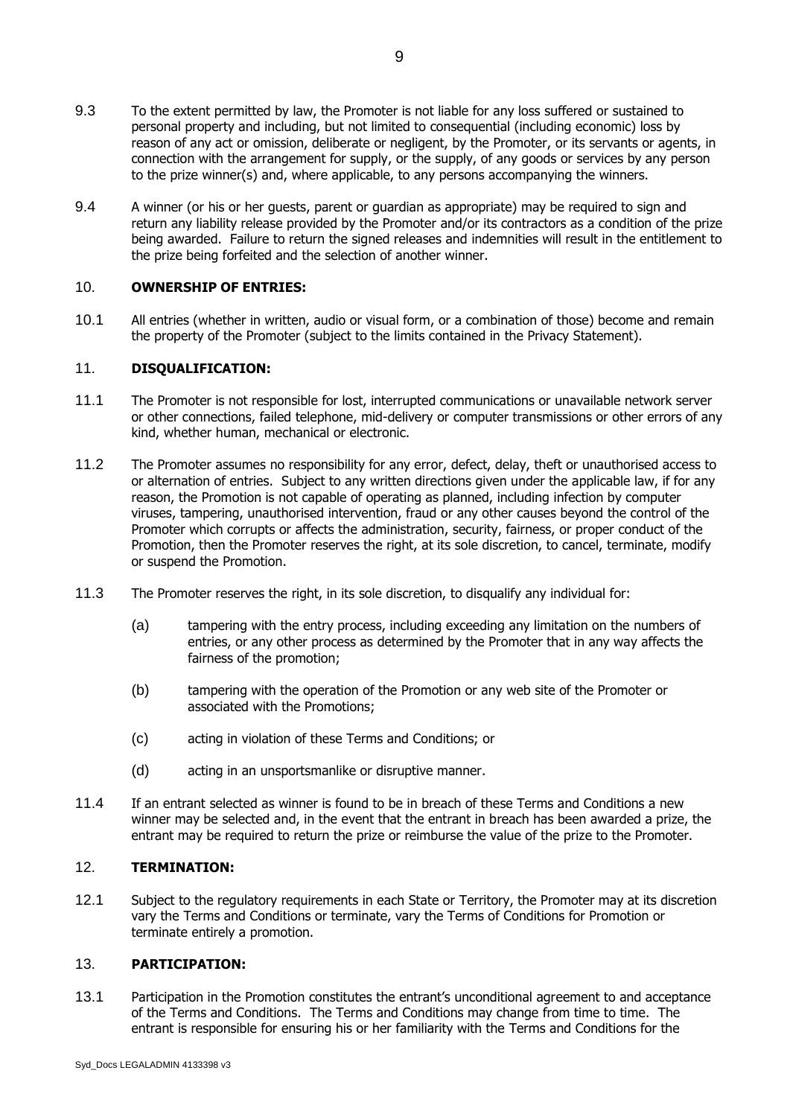- 9.3 To the extent permitted by law, the Promoter is not liable for any loss suffered or sustained to personal property and including, but not limited to consequential (including economic) loss by reason of any act or omission, deliberate or negligent, by the Promoter, or its servants or agents, in connection with the arrangement for supply, or the supply, of any goods or services by any person to the prize winner(s) and, where applicable, to any persons accompanying the winners.
- 9.4 A winner (or his or her guests, parent or guardian as appropriate) may be required to sign and return any liability release provided by the Promoter and/or its contractors as a condition of the prize being awarded. Failure to return the signed releases and indemnities will result in the entitlement to the prize being forfeited and the selection of another winner.

#### 10. **OWNERSHIP OF ENTRIES:**

10.1 All entries (whether in written, audio or visual form, or a combination of those) become and remain the property of the Promoter (subject to the limits contained in the Privacy Statement).

#### 11. **DISQUALIFICATION:**

- 11.1 The Promoter is not responsible for lost, interrupted communications or unavailable network server or other connections, failed telephone, mid-delivery or computer transmissions or other errors of any kind, whether human, mechanical or electronic.
- 11.2 The Promoter assumes no responsibility for any error, defect, delay, theft or unauthorised access to or alternation of entries. Subject to any written directions given under the applicable law, if for any reason, the Promotion is not capable of operating as planned, including infection by computer viruses, tampering, unauthorised intervention, fraud or any other causes beyond the control of the Promoter which corrupts or affects the administration, security, fairness, or proper conduct of the Promotion, then the Promoter reserves the right, at its sole discretion, to cancel, terminate, modify or suspend the Promotion.
- 11.3 The Promoter reserves the right, in its sole discretion, to disqualify any individual for:
	- (a) tampering with the entry process, including exceeding any limitation on the numbers of entries, or any other process as determined by the Promoter that in any way affects the fairness of the promotion;
	- (b) tampering with the operation of the Promotion or any web site of the Promoter or associated with the Promotions;
	- (c) acting in violation of these Terms and Conditions; or
	- (d) acting in an unsportsmanlike or disruptive manner.
- 11.4 If an entrant selected as winner is found to be in breach of these Terms and Conditions a new winner may be selected and, in the event that the entrant in breach has been awarded a prize, the entrant may be required to return the prize or reimburse the value of the prize to the Promoter.

#### 12. **TERMINATION:**

12.1 Subject to the regulatory requirements in each State or Territory, the Promoter may at its discretion vary the Terms and Conditions or terminate, vary the Terms of Conditions for Promotion or terminate entirely a promotion.

#### 13. **PARTICIPATION:**

13.1 Participation in the Promotion constitutes the entrant's unconditional agreement to and acceptance of the Terms and Conditions. The Terms and Conditions may change from time to time. The entrant is responsible for ensuring his or her familiarity with the Terms and Conditions for the